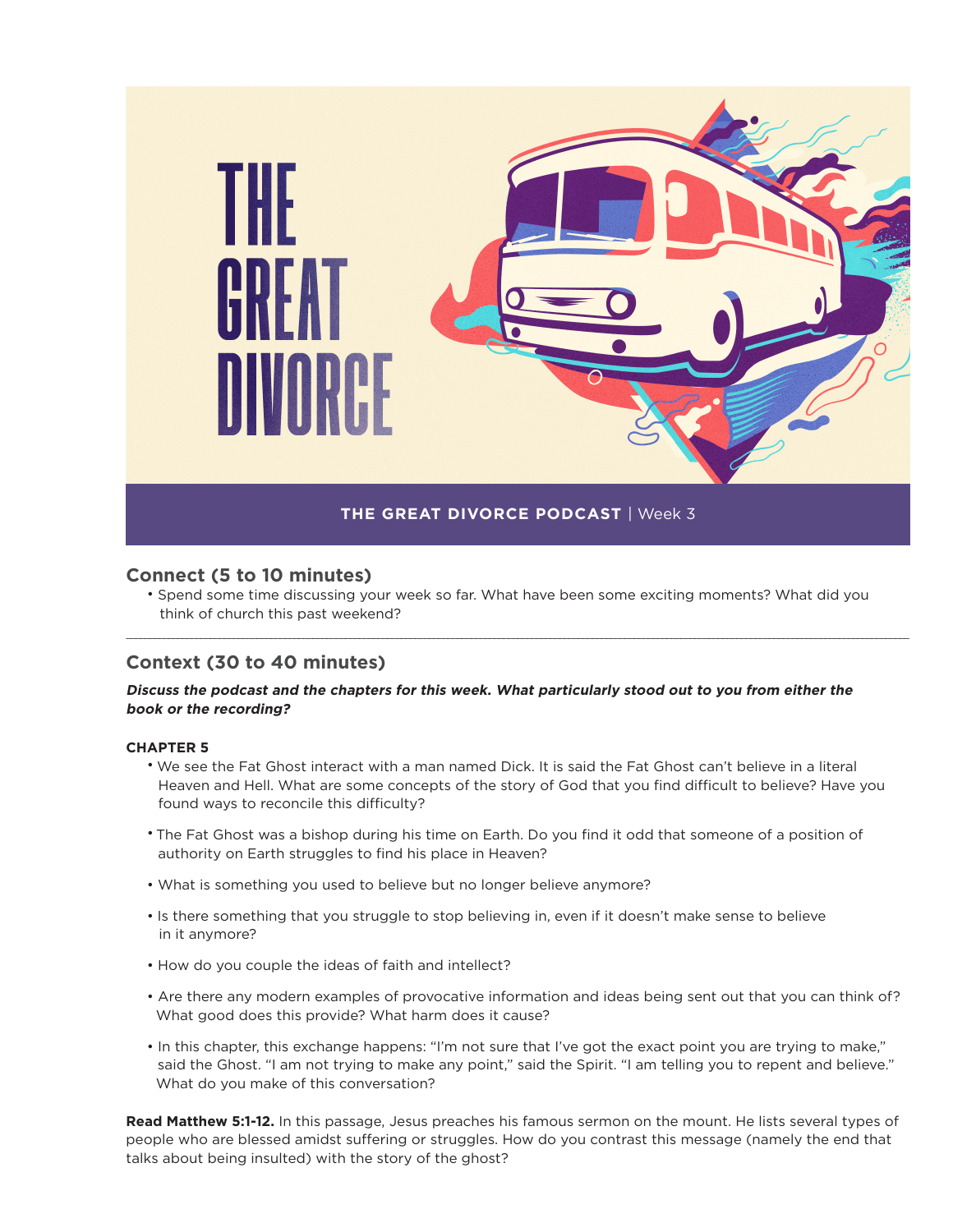

## **Connect (5 to 10 minutes)**

• Spend some time discussing your week so far. What have been some exciting moments? What did you think of church this past weekend?

\_\_\_\_\_\_\_\_\_\_\_\_\_\_\_\_\_\_\_\_\_\_\_\_\_\_\_\_\_\_\_\_\_\_\_\_\_\_\_\_\_\_\_\_\_\_\_\_\_\_\_\_\_\_\_\_\_\_\_\_\_\_\_\_\_\_\_\_\_\_\_\_\_\_\_\_\_\_\_\_\_\_\_\_\_\_\_\_\_\_\_\_\_\_\_\_\_\_\_\_\_\_\_\_\_\_\_\_\_\_\_\_\_\_\_\_\_\_\_\_\_\_\_\_\_\_\_\_\_\_\_\_\_\_\_\_\_\_\_\_\_\_\_\_\_\_\_\_\_\_\_\_\_\_\_\_\_\_\_\_\_\_\_\_\_\_\_\_

## **Context (30 to 40 minutes)**

### **Discuss the podcast and the chapters for this week. What particularly stood out to you from either the book or the recording?**

#### **CHAPTER 5**

- We see the Fat Ghost interact with a man named Dick. It is said the Fat Ghost can't believe in a literal Heaven and Hell. What are some concepts of the story of God that you find difficult to believe? Have you found ways to reconcile this difficulty?
- The Fat Ghost was a bishop during his time on Earth. Do you find it odd that someone of a position of authority on Earth struggles to find his place in Heaven?
- What is something you used to believe but no longer believe anymore?
- Is there something that you struggle to stop believing in, even if it doesn't make sense to believe in it anymore?
- How do you couple the ideas of faith and intellect?
- Are there any modern examples of provocative information and ideas being sent out that you can think of? What good does this provide? What harm does it cause?
- In this chapter, this exchange happens: "I'm not sure that I've got the exact point you are trying to make," said the Ghost. "I am not trying to make any point," said the Spirit. "I am telling you to repent and believe." What do you make of this conversation?

**Read Matthew 5:1-12.** In this passage, Jesus preaches his famous sermon on the mount. He lists several types of people who are blessed amidst suffering or struggles. How do you contrast this message (namely the end that talks about being insulted) with the story of the ghost?